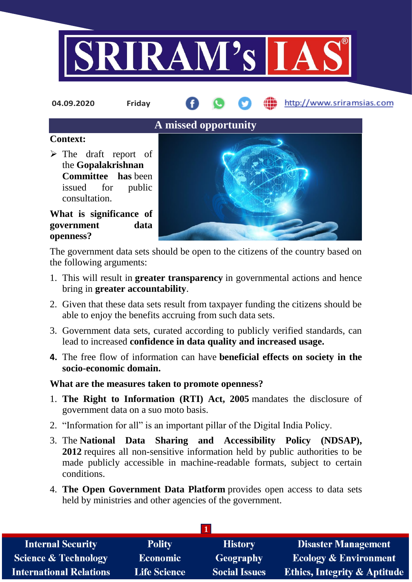

**04.09.2020 Friday**

http://www.sriramsias.com

# **A missed opportunity**

#### **Context:**

 $\triangleright$  The draft report of the **Gopalakrishnan Committee has** been issued for public consultation.

### **What is significance of government data openness?**

The government data sets should be open to the citizens of the country based on the following arguments:

- 1. This will result in **greater transparency** in governmental actions and hence bring in **greater accountability**.
- 2. Given that these data sets result from taxpayer funding the citizens should be able to enjoy the benefits accruing from such data sets.
- 3. Government data sets, curated according to publicly verified standards, can lead to increased **confidence in data quality and increased usage.**
- **4.** The free flow of information can have **beneficial effects on society in the socio-economic domain.**

## **What are the measures taken to promote openness?**

- 1. **The Right to Information (RTI) Act, 2005** mandates the disclosure of government data on a suo moto basis.
- 2. "Information for all" is an important pillar of the Digital India Policy.
- 3. The **National Data Sharing and Accessibility Policy (NDSAP), 2012** requires all non-sensitive information held by public authorities to be made publicly accessible in machine-readable formats, subject to certain conditions.
- 4. **The Open Government Data Platform** provides open access to data sets held by ministries and other agencies of the government.

| <b>Internal Security</b>        | <b>Polity</b>       | <b>History</b>       | <b>Disaster Management</b>              |  |  |  |
|---------------------------------|---------------------|----------------------|-----------------------------------------|--|--|--|
| <b>Science &amp; Technology</b> | <b>Economic</b>     | Geography            | <b>Ecology &amp; Environment</b>        |  |  |  |
| <b>International Relations</b>  | <b>Life Science</b> | <b>Social Issues</b> | <b>Ethics, Integrity &amp; Aptitude</b> |  |  |  |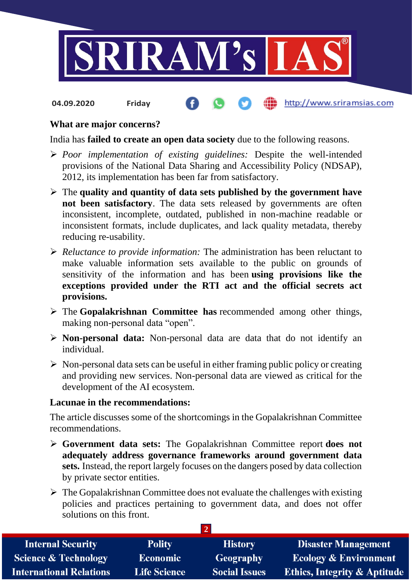

http://www.sriramsias.com **04.09.2020 Friday**

#### **What are major concerns?**

India has **failed to create an open data society** due to the following reasons.

- *Poor implementation of existing guidelines:* Despite the well-intended provisions of the National Data Sharing and Accessibility Policy (NDSAP), 2012, its implementation has been far from satisfactory.
- The **quality and quantity of data sets published by the government have not been satisfactory**. The data sets released by governments are often inconsistent, incomplete, outdated, published in non-machine readable or inconsistent formats, include duplicates, and lack quality metadata, thereby reducing re-usability.
- *Reluctance to provide information:* The administration has been reluctant to make valuable information sets available to the public on grounds of sensitivity of the information and has been **using provisions like the exceptions provided under the RTI act and the official secrets act provisions.**
- The **Gopalakrishnan Committee has** recommended among other things, making non-personal data "open".
- **Non-personal data:** Non-personal data are data that do not identify an individual.
- $\triangleright$  Non-personal data sets can be useful in either framing public policy or creating and providing new services. Non-personal data are viewed as critical for the development of the AI ecosystem.

#### **Lacunae in the recommendations:**

The article discusses some of the shortcomings in the Gopalakrishnan Committee recommendations.

- **Government data sets:** The Gopalakrishnan Committee report **does not adequately address governance frameworks around government data sets.** Instead, the report largely focuses on the dangers posed by data collection by private sector entities.
- $\triangleright$  The Gopalakrishnan Committee does not evaluate the challenges with existing policies and practices pertaining to government data, and does not offer solutions on this front.

**2** 

| <b>Internal Security</b>        | <b>Polity</b>       | <b>History</b>       | <b>Disaster Management</b>              |  |  |  |
|---------------------------------|---------------------|----------------------|-----------------------------------------|--|--|--|
| <b>Science &amp; Technology</b> | <b>Economic</b>     | Geography            | <b>Ecology &amp; Environment</b>        |  |  |  |
| <b>International Relations</b>  | <b>Life Science</b> | <b>Social Issues</b> | <b>Ethics, Integrity &amp; Aptitude</b> |  |  |  |